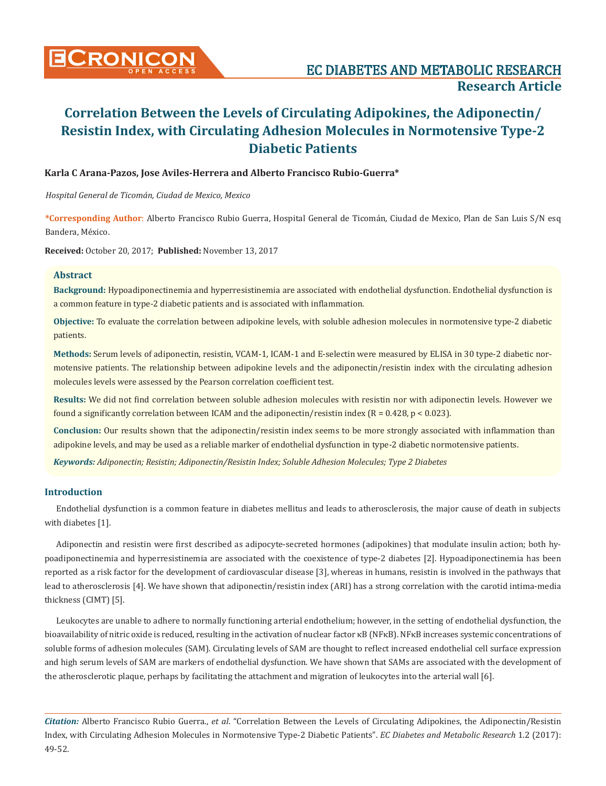# **Correlation Between the Levels of Circulating Adipokines, the Adiponectin/ Resistin Index, with Circulating Adhesion Molecules in Normotensive Type-2 Diabetic Patients**

# **Karla C Arana-Pazos, Jose Aviles-Herrera and Alberto Francisco Rubio-Guerra\***

*Hospital General de Ticomán, Ciudad de Mexico, Mexico*

**\*Corresponding Author**: Alberto Francisco Rubio Guerra, Hospital General de Ticomán, Ciudad de Mexico, Plan de San Luis S/N esq Bandera, México.

**Received:** October 20, 2017; **Published:** November 13, 2017

# **Abstract**

**Background:** Hypoadiponectinemia and hyperresistinemia are associated with endothelial dysfunction. Endothelial dysfunction is a common feature in type-2 diabetic patients and is associated with inflammation.

**Objective:** To evaluate the correlation between adipokine levels, with soluble adhesion molecules in normotensive type-2 diabetic patients.

**Methods:** Serum levels of adiponectin, resistin, VCAM-1, ICAM-1 and E-selectin were measured by ELISA in 30 type-2 diabetic normotensive patients. The relationship between adipokine levels and the adiponectin/resistin index with the circulating adhesion molecules levels were assessed by the Pearson correlation coefficient test.

**Results:** We did not find correlation between soluble adhesion molecules with resistin nor with adiponectin levels. However we found a significantly correlation between ICAM and the adiponectin/resistin index  $(R = 0.428, p < 0.023)$ .

**Conclusion:** Our results shown that the adiponectin/resistin index seems to be more strongly associated with inflammation than adipokine levels, and may be used as a reliable marker of endothelial dysfunction in type-2 diabetic normotensive patients.

*Keywords: Adiponectin; Resistin; Adiponectin/Resistin Index; Soluble Adhesion Molecules; Type 2 Diabetes*

# **Introduction**

Endothelial dysfunction is a common feature in diabetes mellitus and leads to atherosclerosis, the major cause of death in subjects with diabetes [1].

Adiponectin and resistin were first described as adipocyte-secreted hormones (adipokines) that modulate insulin action; both hypoadiponectinemia and hyperresistinemia are associated with the coexistence of type-2 diabetes [2]. Hypoadiponectinemia has been reported as a risk factor for the development of cardiovascular disease [3], whereas in humans, resistin is involved in the pathways that lead to atherosclerosis [4]. We have shown that adiponectin/resistin index (ARI) has a strong correlation with the carotid intima-media thickness (CIMT) [5].

Leukocytes are unable to adhere to normally functioning arterial endothelium; however, in the setting of endothelial dysfunction, the bioavailability of nitric oxide is reduced, resulting in the activation of nuclear factor κB (NFκB). NFκB increases systemic concentrations of soluble forms of adhesion molecules (SAM). Circulating levels of SAM are thought to reflect increased endothelial cell surface expression and high serum levels of SAM are markers of endothelial dysfunction. We have shown that SAMs are associated with the development of the atherosclerotic plaque, perhaps by facilitating the attachment and migration of leukocytes into the arterial wall [6].

*Citation:* Alberto Francisco Rubio Guerra., *et al*. "Correlation Between the Levels of Circulating Adipokines, the Adiponectin/Resistin Index, with Circulating Adhesion Molecules in Normotensive Type-2 Diabetic Patients". *EC Diabetes and Metabolic Research* 1.2 (2017): 49-52.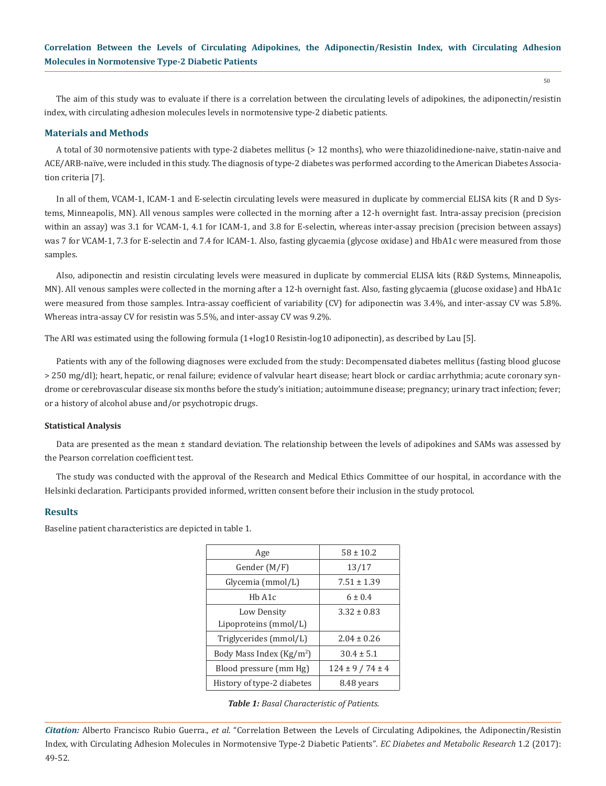# **Correlation Between the Levels of Circulating Adipokines, the Adiponectin/Resistin Index, with Circulating Adhesion Molecules in Normotensive Type-2 Diabetic Patients**

The aim of this study was to evaluate if there is a correlation between the circulating levels of adipokines, the adiponectin/resistin index, with circulating adhesion molecules levels in normotensive type-2 diabetic patients.

## **Materials and Methods**

A total of 30 normotensive patients with type-2 diabetes mellitus (> 12 months), who were thiazolidinedione-naive, statin-naive and ACE/ARB-naïve, were included in this study. The diagnosis of type-2 diabetes was performed according to the American Diabetes Association criteria [7].

In all of them, VCAM-1, ICAM-1 and E-selectin circulating levels were measured in duplicate by commercial ELISA kits (R and D Systems, Minneapolis, MN). All venous samples were collected in the morning after a 12-h overnight fast. Intra-assay precision (precision within an assay) was 3.1 for VCAM-1, 4.1 for ICAM-1, and 3.8 for E-selectin, whereas inter-assay precision (precision between assays) was 7 for VCAM-1, 7.3 for E-selectin and 7.4 for ICAM-1. Also, fasting glycaemia (glycose oxidase) and HbA1c were measured from those samples.

Also, adiponectin and resistin circulating levels were measured in duplicate by commercial ELISA kits (R&D Systems, Minneapolis, MN). All venous samples were collected in the morning after a 12-h overnight fast. Also, fasting glycaemia (glucose oxidase) and HbA1c were measured from those samples. Intra-assay coefficient of variability (CV) for adiponectin was 3.4%, and inter-assay CV was 5.8%. Whereas intra-assay CV for resistin was 5.5%, and inter-assay CV was 9.2%.

The ARI was estimated using the following formula  $(1+log10$  Resistin-log10 adiponectin), as described by Lau [5].

Patients with any of the following diagnoses were excluded from the study: Decompensated diabetes mellitus (fasting blood glucose > 250 mg/dl); heart, hepatic, or renal failure; evidence of valvular heart disease; heart block or cardiac arrhythmia; acute coronary syndrome or cerebrovascular disease six months before the study's initiation; autoimmune disease; pregnancy; urinary tract infection; fever; or a history of alcohol abuse and/or psychotropic drugs.

#### **Statistical Analysis**

Data are presented as the mean ± standard deviation. The relationship between the levels of adipokines and SAMs was assessed by the Pearson correlation coefficient test.

The study was conducted with the approval of the Research and Medical Ethics Committee of our hospital, in accordance with the Helsinki declaration. Participants provided informed, written consent before their inclusion in the study protocol.

## **Results**

Baseline patient characteristics are depicted in table 1.

| Age                                  | $58 \pm 10.2$          |
|--------------------------------------|------------------------|
| Gender (M/F)                         | 13/17                  |
| Glycemia (mmol/L)                    | $7.51 \pm 1.39$        |
| HbA1c                                | $6 \pm 0.4$            |
| Low Density                          | $3.32 \pm 0.83$        |
| Lipoproteins (mmol/L)                |                        |
| Triglycerides (mmol/L)               | $2.04 \pm 0.26$        |
| Body Mass Index (Kg/m <sup>2</sup> ) | $30.4 \pm 5.1$         |
| Blood pressure (mm Hg)               | $124 \pm 9 / 74 \pm 4$ |
| History of type-2 diabetes           | 8.48 years             |
|                                      |                        |

*Table 1: Basal Characteristic of Patients.*

*Citation:* Alberto Francisco Rubio Guerra., *et al*. "Correlation Between the Levels of Circulating Adipokines, the Adiponectin/Resistin Index, with Circulating Adhesion Molecules in Normotensive Type-2 Diabetic Patients". *EC Diabetes and Metabolic Research* 1.2 (2017): 49-52.

 $50$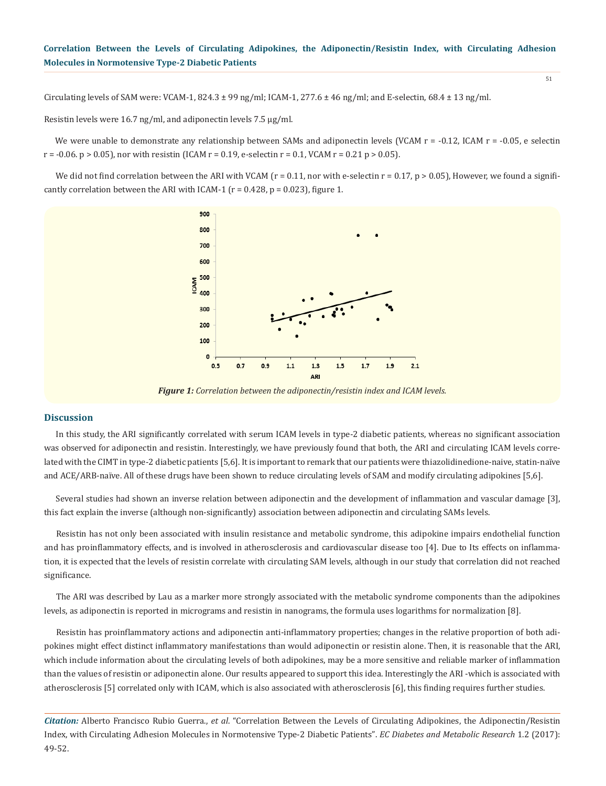# **Correlation Between the Levels of Circulating Adipokines, the Adiponectin/Resistin Index, with Circulating Adhesion Molecules in Normotensive Type-2 Diabetic Patients**

51

Circulating levels of SAM were: VCAM-1, 824.3  $\pm$  99 ng/ml; ICAM-1, 277.6  $\pm$  46 ng/ml; and E-selectin, 68.4  $\pm$  13 ng/ml.

Resistin levels were 16.7 ng/ml, and adiponectin levels 7.5 μg/ml.

We were unable to demonstrate any relationship between SAMs and adiponectin levels (VCAM  $r = -0.12$ , ICAM  $r = -0.05$ , e selectin  $r = -0.06$ ,  $p > 0.05$ ), nor with resistin (ICAM  $r = 0.19$ , e-selectin  $r = 0.1$ , VCAM  $r = 0.21$   $p > 0.05$ ).

We did not find correlation between the ARI with VCAM ( $r = 0.11$ , nor with e-selectin  $r = 0.17$ ,  $p > 0.05$ ), However, we found a significantly correlation between the ARI with ICAM-1 ( $r = 0.428$ ,  $p = 0.023$ ), figure 1.



*Figure 1: Correlation between the adiponectin/resistin index and ICAM levels.*

## **Discussion**

In this study, the ARI significantly correlated with serum ICAM levels in type-2 diabetic patients, whereas no significant association was observed for adiponectin and resistin. Interestingly, we have previously found that both, the ARI and circulating ICAM levels correlated with the CIMT in type-2 diabetic patients [5,6]. It is important to remark that our patients were thiazolidinedione-naive, statin-naïve and ACE/ARB-naïve. All of these drugs have been shown to reduce circulating levels of SAM and modify circulating adipokines [5,6].

Several studies had shown an inverse relation between adiponectin and the development of inflammation and vascular damage [3], this fact explain the inverse (although non-significantly) association between adiponectin and circulating SAMs levels.

Resistin has not only been associated with insulin resistance and metabolic syndrome, this adipokine impairs endothelial function and has proinflammatory effects, and is involved in atherosclerosis and cardiovascular disease too [4]. Due to Its effects on inflammation, it is expected that the levels of resistin correlate with circulating SAM levels, although in our study that correlation did not reached significance.

The ARI was described by Lau as a marker more strongly associated with the metabolic syndrome components than the adipokines levels, as adiponectin is reported in micrograms and resistin in nanograms, the formula uses logarithms for normalization [8].

Resistin has proinflammatory actions and adiponectin anti-inflammatory properties; changes in the relative proportion of both adipokines might effect distinct inflammatory manifestations than would adiponectin or resistin alone. Then, it is reasonable that the ARI, which include information about the circulating levels of both adipokines, may be a more sensitive and reliable marker of inflammation than the values of resistin or adiponectin alone. Our results appeared to support this idea. Interestingly the ARI -which is associated with atherosclerosis [5] correlated only with ICAM, which is also associated with atherosclerosis [6], this finding requires further studies.

*Citation:* Alberto Francisco Rubio Guerra., *et al*. "Correlation Between the Levels of Circulating Adipokines, the Adiponectin/Resistin Index, with Circulating Adhesion Molecules in Normotensive Type-2 Diabetic Patients". *EC Diabetes and Metabolic Research* 1.2 (2017): 49-52.